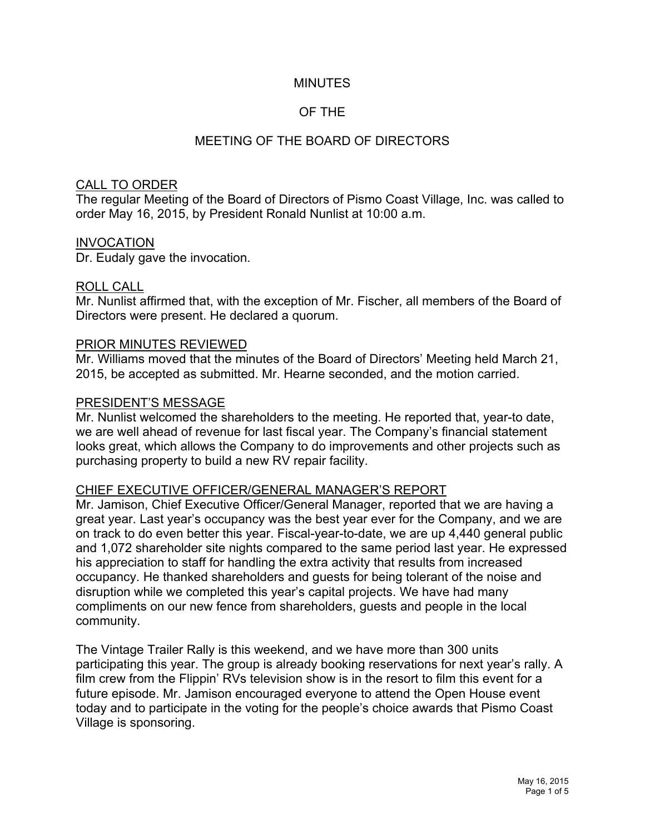## MINUTES

# OF THE

# MEETING OF THE BOARD OF DIRECTORS

#### CALL TO ORDER

The regular Meeting of the Board of Directors of Pismo Coast Village, Inc. was called to order May 16, 2015, by President Ronald Nunlist at 10:00 a.m.

#### INVOCATION

Dr. Eudaly gave the invocation.

#### ROLL CALL

Mr. Nunlist affirmed that, with the exception of Mr. Fischer, all members of the Board of Directors were present. He declared a quorum.

#### PRIOR MINUTES REVIEWED

Mr. Williams moved that the minutes of the Board of Directors' Meeting held March 21, 2015, be accepted as submitted. Mr. Hearne seconded, and the motion carried.

#### PRESIDENT'S MESSAGE

Mr. Nunlist welcomed the shareholders to the meeting. He reported that, year-to date, we are well ahead of revenue for last fiscal year. The Company's financial statement looks great, which allows the Company to do improvements and other projects such as purchasing property to build a new RV repair facility.

### CHIEF EXECUTIVE OFFICER/GENERAL MANAGER'S REPORT

Mr. Jamison, Chief Executive Officer/General Manager, reported that we are having a great year. Last year's occupancy was the best year ever for the Company, and we are on track to do even better this year. Fiscal-year-to-date, we are up 4,440 general public and 1,072 shareholder site nights compared to the same period last year. He expressed his appreciation to staff for handling the extra activity that results from increased occupancy. He thanked shareholders and guests for being tolerant of the noise and disruption while we completed this year's capital projects. We have had many compliments on our new fence from shareholders, guests and people in the local community.

The Vintage Trailer Rally is this weekend, and we have more than 300 units participating this year. The group is already booking reservations for next year's rally. A film crew from the Flippin' RVs television show is in the resort to film this event for a future episode. Mr. Jamison encouraged everyone to attend the Open House event today and to participate in the voting for the people's choice awards that Pismo Coast Village is sponsoring.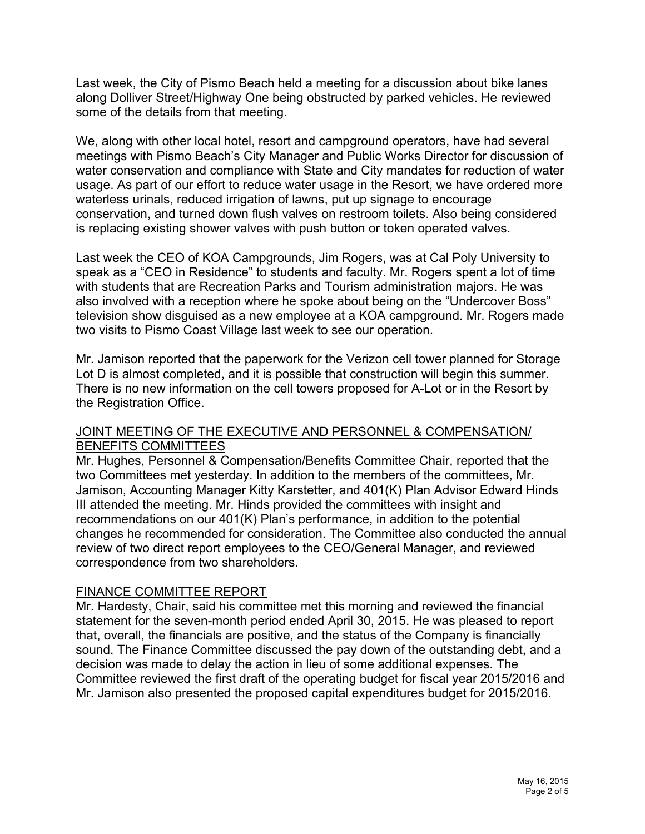Last week, the City of Pismo Beach held a meeting for a discussion about bike lanes along Dolliver Street/Highway One being obstructed by parked vehicles. He reviewed some of the details from that meeting.

We, along with other local hotel, resort and campground operators, have had several meetings with Pismo Beach's City Manager and Public Works Director for discussion of water conservation and compliance with State and City mandates for reduction of water usage. As part of our effort to reduce water usage in the Resort, we have ordered more waterless urinals, reduced irrigation of lawns, put up signage to encourage conservation, and turned down flush valves on restroom toilets. Also being considered is replacing existing shower valves with push button or token operated valves.

Last week the CEO of KOA Campgrounds, Jim Rogers, was at Cal Poly University to speak as a "CEO in Residence" to students and faculty. Mr. Rogers spent a lot of time with students that are Recreation Parks and Tourism administration majors. He was also involved with a reception where he spoke about being on the "Undercover Boss" television show disguised as a new employee at a KOA campground. Mr. Rogers made two visits to Pismo Coast Village last week to see our operation.

Mr. Jamison reported that the paperwork for the Verizon cell tower planned for Storage Lot D is almost completed, and it is possible that construction will begin this summer. There is no new information on the cell towers proposed for A-Lot or in the Resort by the Registration Office.

### JOINT MEETING OF THE EXECUTIVE AND PERSONNEL & COMPENSATION/ BENEFITS COMMITTEES

Mr. Hughes, Personnel & Compensation/Benefits Committee Chair, reported that the two Committees met yesterday. In addition to the members of the committees, Mr. Jamison, Accounting Manager Kitty Karstetter, and 401(K) Plan Advisor Edward Hinds III attended the meeting. Mr. Hinds provided the committees with insight and recommendations on our 401(K) Plan's performance, in addition to the potential changes he recommended for consideration. The Committee also conducted the annual review of two direct report employees to the CEO/General Manager, and reviewed correspondence from two shareholders.

### FINANCE COMMITTEE REPORT

Mr. Hardesty, Chair, said his committee met this morning and reviewed the financial statement for the seven-month period ended April 30, 2015. He was pleased to report that, overall, the financials are positive, and the status of the Company is financially sound. The Finance Committee discussed the pay down of the outstanding debt, and a decision was made to delay the action in lieu of some additional expenses. The Committee reviewed the first draft of the operating budget for fiscal year 2015/2016 and Mr. Jamison also presented the proposed capital expenditures budget for 2015/2016.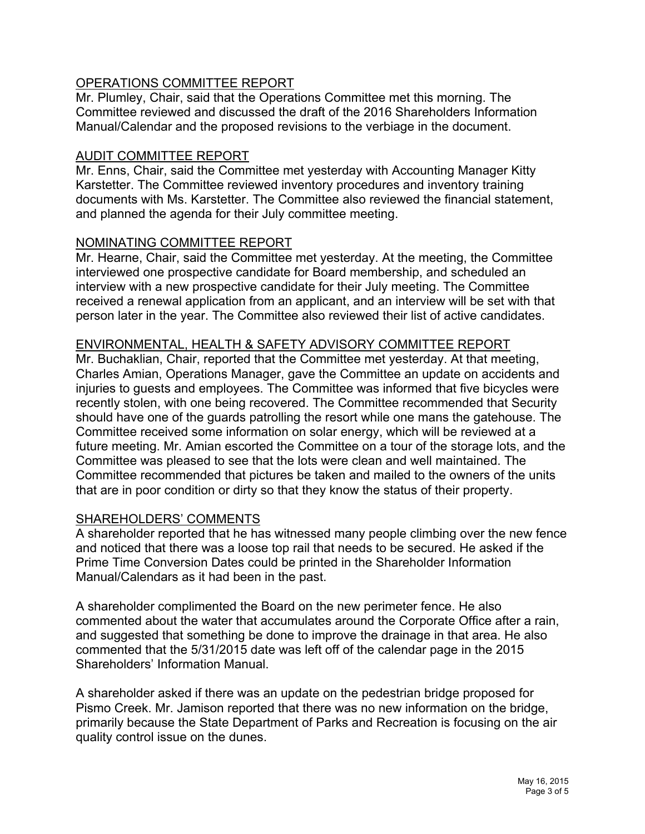# OPERATIONS COMMITTEE REPORT

Mr. Plumley, Chair, said that the Operations Committee met this morning. The Committee reviewed and discussed the draft of the 2016 Shareholders Information Manual/Calendar and the proposed revisions to the verbiage in the document.

# AUDIT COMMITTEE REPORT

Mr. Enns, Chair, said the Committee met yesterday with Accounting Manager Kitty Karstetter. The Committee reviewed inventory procedures and inventory training documents with Ms. Karstetter. The Committee also reviewed the financial statement, and planned the agenda for their July committee meeting.

### NOMINATING COMMITTEE REPORT

Mr. Hearne, Chair, said the Committee met yesterday. At the meeting, the Committee interviewed one prospective candidate for Board membership, and scheduled an interview with a new prospective candidate for their July meeting. The Committee received a renewal application from an applicant, and an interview will be set with that person later in the year. The Committee also reviewed their list of active candidates.

### ENVIRONMENTAL, HEALTH & SAFETY ADVISORY COMMITTEE REPORT

Mr. Buchaklian, Chair, reported that the Committee met yesterday. At that meeting, Charles Amian, Operations Manager, gave the Committee an update on accidents and injuries to guests and employees. The Committee was informed that five bicycles were recently stolen, with one being recovered. The Committee recommended that Security should have one of the guards patrolling the resort while one mans the gatehouse. The Committee received some information on solar energy, which will be reviewed at a future meeting. Mr. Amian escorted the Committee on a tour of the storage lots, and the Committee was pleased to see that the lots were clean and well maintained. The Committee recommended that pictures be taken and mailed to the owners of the units that are in poor condition or dirty so that they know the status of their property.

### SHAREHOLDERS' COMMENTS

A shareholder reported that he has witnessed many people climbing over the new fence and noticed that there was a loose top rail that needs to be secured. He asked if the Prime Time Conversion Dates could be printed in the Shareholder Information Manual/Calendars as it had been in the past.

A shareholder complimented the Board on the new perimeter fence. He also commented about the water that accumulates around the Corporate Office after a rain, and suggested that something be done to improve the drainage in that area. He also commented that the 5/31/2015 date was left off of the calendar page in the 2015 Shareholders' Information Manual.

A shareholder asked if there was an update on the pedestrian bridge proposed for Pismo Creek. Mr. Jamison reported that there was no new information on the bridge, primarily because the State Department of Parks and Recreation is focusing on the air quality control issue on the dunes.